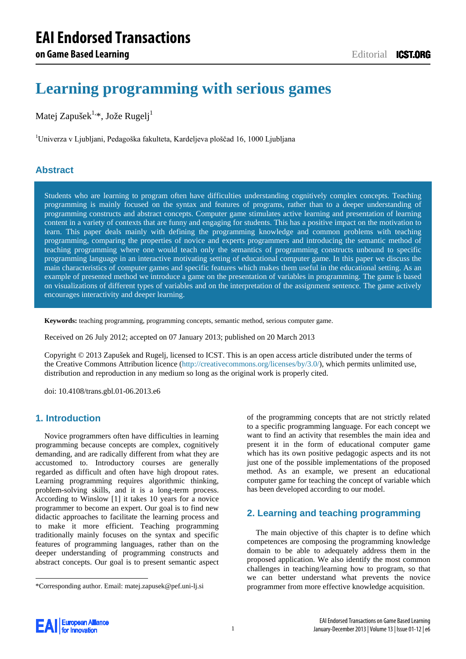# **Learning programming with serious games**

Matej Zapušek<sup>1,\*</sup>, Jože Rugelj<sup>1</sup>

<sup>1</sup>Univerza v Ljubljani, Pedagoška fakulteta, Kardeljeva ploščad 16, 1000 Ljubljana

## **Abstract**

Students who are learning to program often have difficulties understanding cognitively complex concepts. Teaching programming is mainly focused on the syntax and features of programs, rather than to a deeper understanding of programming constructs and abstract concepts. Computer game stimulates active learning and presentation of learning content in a variety of contexts that are funny and engaging for students. This has a positive impact on the motivation to learn. This paper deals mainly with defining the programming knowledge and common problems with teaching programming, comparing the properties of novice and experts programmers and introducing the semantic method of teaching programming where one would teach only the semantics of programming constructs unbound to specific programming language in an interactive motivating setting of educational computer game. In this paper we discuss the main characteristics of computer games and specific features which makes them useful in the educational setting. As an example of presented method we introduce a game on the presentation of variables in programming. The game is based on visualizations of different types of variables and on the interpretation of the assignment sentence. The game actively encourages interactivity and deeper learning.

**Keywords:** teaching programming, programming concepts, semantic method, serious computer game.

Received on 26 July 2012; accepted on 07 January 2013; published on 20 March 2013

Copyright © 2013 Zapušek and Rugelj, licensed to ICST. This is an open access article distributed under the terms of the Creative Commons Attribution licence [\(http://creativecommons.org/licenses/by/3.0/\)](http://creativecommons.org/licenses/by/3.0/), which permits unlimited use, distribution and reproduction in any medium so long as the original work is properly cited.

doi: 10.4108/trans.gbl.01-06.2013.e6

## **1. Introduction**

Novice programmers often have difficulties in learning programming because concepts are complex, cognitively demanding, and are radically different from what they are accustomed to. Introductory courses are generally regarded as difficult and often have high dropout rates. Learning programming requires algorithmic thinking, problem-solving skills, and it is a long-term process. According to Winslow [\[1\]](#page-7-0) it takes 10 years for a novice programmer to become an expert. Our goal is to find new didactic approaches to facilitate the learning process and to make it more efficient. Teaching programming traditionally mainly focuses on the syntax and specific features of programming languages, rather than on the deeper understanding of programming constructs and abstract concepts. Our goal is to present semantic aspect of the programming concepts that are not strictly related to a specific programming language. For each concept we want to find an activity that resembles the main idea and present it in the form of educational computer game which has its own positive pedagogic aspects and its not just one of the possible implementations of the proposed method. As an example, we present an educational computer game for teaching the concept of variable which has been developed according to our model.

## **2. Learning and teaching programming**

The main objective of this chapter is to define which competences are composing the programming knowledge domain to be able to adequately address them in the proposed application. We also identify the most common challenges in teaching/learning how to program, so that we can better understand what prevents the novice programmer from more effective knowledge acquisition.



-

<sup>\*</sup>Corresponding author. Email: matej.zapusek@pef.uni-lj.si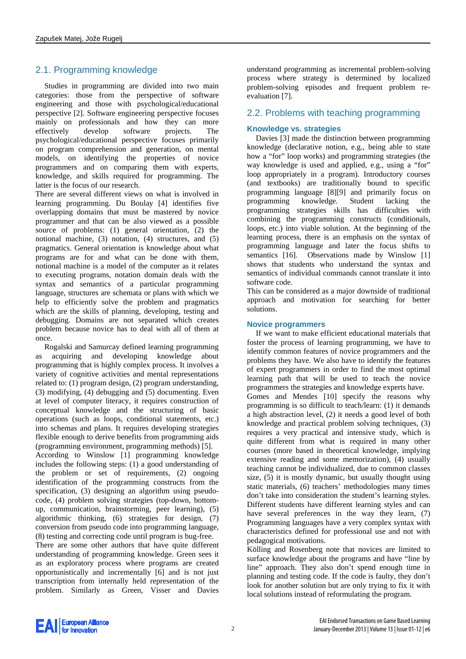# 2.1. Programming knowledge

Studies in programming are divided into two main categories: those from the perspective of software engineering and those with psychological/educational perspective [\[2\].](#page-7-1) Software engineering perspective focuses mainly on professionals and how they can more effectively develop software projects. The psychological/educational perspective focuses primarily on program comprehension and generation, on mental models, on identifying the properties of novice programmers and on comparing them with experts, knowledge, and skills required for programming. The latter is the focus of our research.

There are several different views on what is involved in learning programming. Du Boulay [\[4\]](#page-7-2) identifies five overlapping domains that must be mastered by novice programmer and that can be also viewed as a possible source of problems: (1) general orientation, (2) the notional machine, (3) notation, (4) structures, and (5) pragmatics. General orientation is knowledge about what programs are for and what can be done with them, notional machine is a model of the computer as it relates to executing programs, notation domain deals with the syntax and semantics of a particular programming language, structures are schemata or plans with which we help to efficiently solve the problem and pragmatics which are the skills of planning, developing, testing and debugging. Domains are not separated which creates problem because novice has to deal with all of them at once.

Rogalski and Samurcay defined learning programming as acquiring and developing knowledge about programming that is highly complex process. It involves a variety of cognitive activities and mental representations related to: (1) program design, (2) program understanding, (3) modifying, (4) debugging and (5) documenting. Even at level of computer literacy, it requires construction of conceptual knowledge and the structuring of basic operations (such as loops, conditional statements, etc.) into schemas and plans. It requires developing strategies flexible enough to derive benefits from programming aids (programming environment, programming methods) [\[5\].](#page-7-3)

According to Winslow [\[1\]](#page-7-0) programming knowledge includes the following steps: (1) a good understanding of the problem or set of requirements, (2) ongoing identification of the programming constructs from the specification, (3) designing an algorithm using pseudocode, (4) problem solving strategies (top-down, bottomup, communication, brainstorming, peer learning), (5) algorithmic thinking, (6) strategies for design, (7) conversion from pseudo code into programming language, (8) testing and correcting code until program is bug-free.

There are some other authors that have quite different understanding of programming knowledge. Green sees it as an exploratory process where programs are created opportunistically and incrementally [\[6\]](#page-7-4) and is not just transcription from internally held representation of the problem. Similarly as Green, Visser and Davies

understand programming as incremental problem-solving process where strategy is determined by localized problem-solving episodes and frequent problem reevaluation [\[7\].](#page-7-5)

## 2.2. Problems with teaching programming

### **Knowledge vs. strategies**

Davies [\[3\]](#page-7-6) made the distinction between programming knowledge (declarative notion, e.g., being able to state how a "for" loop works) and programming strategies (the way knowledge is used and applied, e.g., using a "for" loop appropriately in a program). Introductory courses (and textbooks) are traditionally bound to specific programming language [\[8\]\[9\]](#page-7-7) and primarily focus on programming knowledge. Student lacking the programming strategies skills has difficulties with combining the programming constructs (conditionals, loops, etc.) into viable solution. At the beginning of the learning process, there is an emphasis on the syntax of programming language and later the focus shifts to semantics [\[16\].](#page-7-8) Observations made by Winslow [\[1\]](#page-7-0) shows that students who understand the syntax and semantics of individual commands cannot translate it into software code.

This can be considered as a major downside of traditional approach and motivation for searching for better solutions.

#### **Novice programmers**

If we want to make efficient educational materials that foster the process of learning programming, we have to identify common features of novice programmers and the problems they have. We also have to identify the features of expert programmers in order to find the most optimal learning path that will be used to teach the novice programmers the strategies and knowledge experts have.

Gomes and Mendes [\[10\]](#page-7-9) specify the reasons why programming is so difficult to teach/learn: (1) it demands a high abstraction level, (2) it needs a good level of both knowledge and practical problem solving techniques, (3) requires a very practical and intensive study, which is quite different from what is required in many other courses (more based in theoretical knowledge, implying extensive reading and some memorization), (4) usually teaching cannot be individualized, due to common classes size, (5) it is mostly dynamic, but usually thought using static materials, (6) teachers' methodologies many times don't take into consideration the student's learning styles. Different students have different learning styles and can have several preferences in the way they learn, (7) Programming languages have a very complex syntax with characteristics defined for professional use and not with pedagogical motivations.

Kölling and Rosenberg note that novices are limited to surface knowledge about the programs and have "line by line" approach. They also don't spend enough time in planning and testing code. If the code is faulty, they don't look for another solution but are only trying to fix it with local solutions instead of reformulating the program.

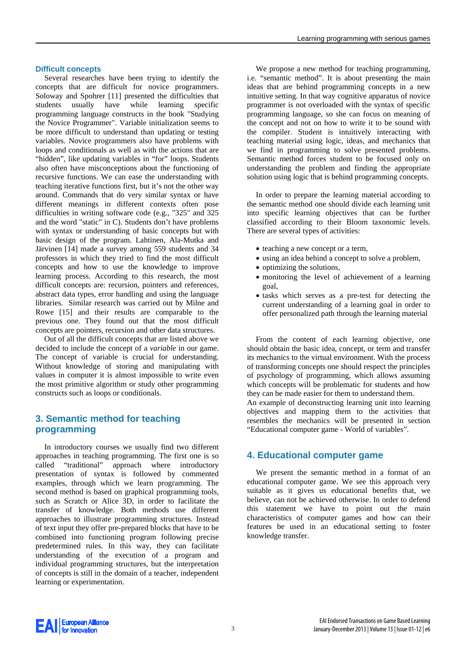#### **Difficult concepts**

Several researches have been trying to identify the concepts that are difficult for novice programmers. Soloway and Spohrer [\[11\]](#page-7-10) presented the difficulties that students usually have while learning specific programming language constructs in the book "Studying the Novice Programmer". Variable initialization seems to be more difficult to understand than updating or testing variables. Novice programmers also have problems with loops and conditionals as well as with the actions that are "hidden", like updating variables in "for" loops. Students also often have misconceptions about the functioning of recursive functions. We can ease the understanding with teaching iterative functions first, but it's not the other way around. Commands that do very similar syntax or have different meanings in different contexts often pose difficulties in writing software code (e.g., "325" and 325 and the word "static" in C). Students don't have problems with syntax or understanding of basic concepts but with basic design of the program. Lahtinen, Ala-Mutka and Järvinen [\[14\]](#page-7-11) made a survey among 559 students and 34 professors in which they tried to find the most difficult concepts and how to use the knowledge to improve learning process. According to this research, the most difficult concepts are: recursion, pointers and references, abstract data types, error handling and using the language libraries. Similar research was carried out by Milne and Rowe [\[15\]](#page-7-12) and their results are comparable to the previous one. They found out that the most difficult concepts are pointers, recursion and other data structures.

Out of all the difficult concepts that are listed above we decided to include the concept of a *variable* in our game. The concept of variable is crucial for understanding. Without knowledge of storing and manipulating with values in computer it is almost impossible to write even the most primitive algorithm or study other programming constructs such as loops or conditionals.

## **3. Semantic method for teaching programming**

In introductory courses we usually find two different approaches in teaching programming. The first one is so called "traditional" approach where introductory presentation of syntax is followed by commented examples, through which we learn programming. The second method is based on graphical programming tools, such as Scratch or Alice 3D, in order to facilitate the transfer of knowledge. Both methods use different approaches to illustrate programming structures. Instead of text input they offer pre-prepared blocks that have to be combined into functioning program following precise predetermined rules. In this way, they can facilitate understanding of the execution of a program and individual programming structures, but the interpretation of concepts is still in the domain of a teacher, independent learning or experimentation.

We propose a new method for teaching programming, i.e. "semantic method". It is about presenting the main ideas that are behind programming concepts in a new intuitive setting. In that way cognitive apparatus of novice programmer is not overloaded with the syntax of specific programming language, so she can focus on meaning of the concept and not on how to write it to be sound with the compiler. Student is intuitively interacting with teaching material using logic, ideas, and mechanics that we find in programming to solve presented problems. Semantic method forces student to be focused only on understanding the problem and finding the appropriate solution using logic that is behind programming concepts.

In order to prepare the learning material according to the semantic method one should divide each learning unit into specific learning objectives that can be further classified according to their Bloom taxonomic levels. There are several types of activities:

- teaching a new concept or a term,
- using an idea behind a concept to solve a problem,
- optimizing the solutions,
- monitoring the level of achievement of a learning goal,
- tasks which serves as a pre-test for detecting the current understanding of a learning goal in order to offer personalized path through the learning material

From the content of each learning objective, one should obtain the basic idea, concept, or term and transfer its mechanics to the virtual environment. With the process of transforming concepts one should respect the principles of psychology of programming, which allows assuming which concepts will be problematic for students and how they can be made easier for them to understand them.

An example of deconstructing learning unit into learning objectives and mapping them to the activities that resembles the mechanics will be presented in section "Educational computer game - World of variables".

#### **4. Educational computer game**

We present the semantic method in a format of an educational computer game. We see this approach very suitable as it gives us educational benefits that, we believe, can not be achieved otherwise. In order to defend this statement we have to point out the main characteristics of computer games and how can their features be used in an educational setting to foster knowledge transfer.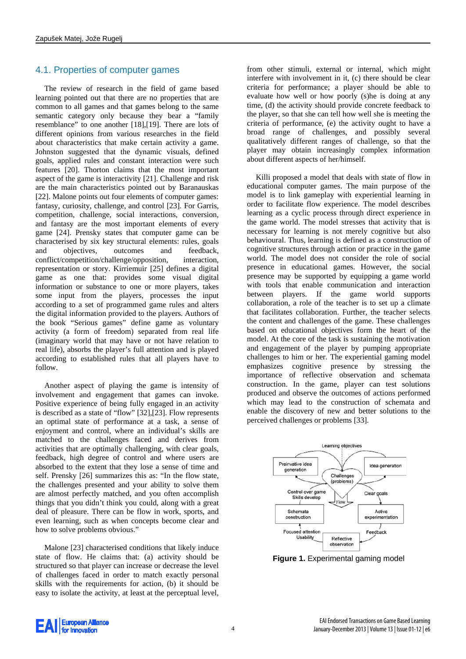## 4.1. Properties of computer games

The review of research in the field of game based learning pointed out that there are no properties that are common to all games and that games belong to the same semantic category only because they bear a "family resemblance" to one another [\[18\]](#page-7-13)[,\[19\].](#page-7-14) There are lots of different opinions from various researches in the field about characteristics that make certain activity a game. Johnston suggested that the dynamic visuals, defined goals, applied rules and constant interaction were such features [\[20\].](#page-7-15) Thorton claims that the most important aspect of the game is interactivity [\[21\].](#page-7-16) Challenge and risk are the main characteristics pointed out by Baranauskas [\[22\].](#page-7-17) Malone points out four elements of computer games: fantasy, curiosity, challenge, and control [\[23\].](#page-7-18) For Garris, competition, challenge, social interactions, conversion, and fantasy are the most important elements of every game [\[24\].](#page-7-19) Prensky states that computer game can be characterised by six key structural elements: rules, goals and objectives, outcomes and feedback, conflict/competition/challenge/opposition, interaction, representation or story. Kirriemuir [\[25\]](#page-7-20) defines a digital game as one that: provides some visual digital information or substance to one or more players, takes some input from the players, processes the input according to a set of programmed game rules and alters the digital information provided to the players. Authors of the book "Serious games" define game as voluntary activity (a form of freedom) separated from real life (imaginary world that may have or not have relation to real life), absorbs the player's full attention and is played according to established rules that all players have to follow.

Another aspect of playing the game is intensity of involvement and engagement that games can invoke. Positive experience of being fully engaged in an activity is described as a state of "flow" [\[32\]](#page-7-21)[,\[23\].](#page-7-18) Flow represents an optimal state of performance at a task, a sense of enjoyment and control, where an individual's skills are matched to the challenges faced and derives from activities that are optimally challenging, with clear goals, feedback, high degree of control and where users are absorbed to the extent that they lose a sense of time and self. Prensky [\[26\]](#page-7-22) summarizes this as: "In the flow state, the challenges presented and your ability to solve them are almost perfectly matched, and you often accomplish things that you didn't think you could, along with a great deal of pleasure. There can be flow in work, sports, and even learning, such as when concepts become clear and how to solve problems obvious."

Malone [\[23\]](#page-7-18) characterised conditions that likely induce state of flow. He claims that: (a) activity should be structured so that player can increase or decrease the level of challenges faced in order to match exactly personal skills with the requirements for action, (b) it should be easy to isolate the activity, at least at the perceptual level,

from other stimuli, external or internal, which might interfere with involvement in it, (c) there should be clear criteria for performance; a player should be able to evaluate how well or how poorly (s)he is doing at any time, (d) the activity should provide concrete feedback to the player, so that she can tell how well she is meeting the criteria of performance, (e) the activity ought to have a broad range of challenges, and possibly several qualitatively different ranges of challenge, so that the player may obtain increasingly complex information about different aspects of her/himself.

Killi proposed a model that deals with state of flow in educational computer games. The main purpose of the model is to link gameplay with experiential learning in order to facilitate flow experience. The model describes learning as a cyclic process through direct experience in the game world. The model stresses that activity that is necessary for learning is not merely cognitive but also behavioural. Thus, learning is defined as a construction of cognitive structures through action or practice in the game world. The model does not consider the role of social presence in educational games. However, the social presence may be supported by equipping a game world with tools that enable communication and interaction between players. If the game world supports collaboration, a role of the teacher is to set up a climate that facilitates collaboration. Further, the teacher selects the content and challenges of the game. These challenges based on educational objectives form the heart of the model. At the core of the task is sustaining the motivation and engagement of the player by pumping appropriate challenges to him or her. The experiential gaming model emphasizes cognitive presence by stressing the importance of reflective observation and schemata construction. In the game, player can test solutions produced and observe the outcomes of actions performed which may lead to the construction of schemata and enable the discovery of new and better solutions to the perceived challenges or problems [\[33\].](#page-7-23)



**Figure 1.** Experimental gaming model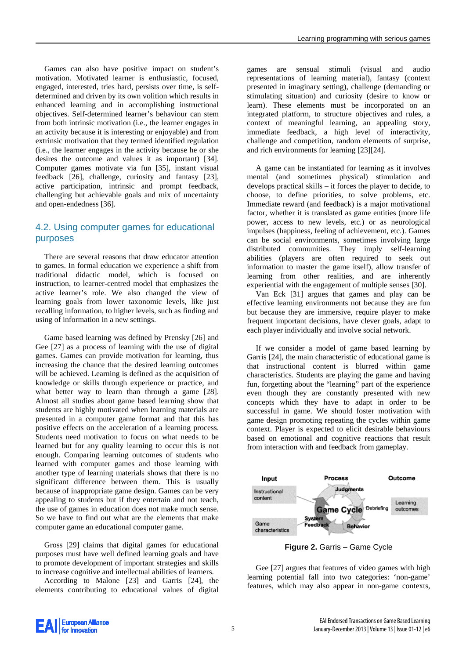Games can also have positive impact on student's motivation. Motivated learner is enthusiastic, focused, engaged, interested, tries hard, persists over time, is selfdetermined and driven by its own volition which results in enhanced learning and in accomplishing instructional objectives. Self-determined learner's behaviour can stem from both intrinsic motivation (i.e., the learner engages in an activity because it is interesting or enjoyable) and from extrinsic motivation that they termed identified regulation (i.e., the learner engages in the activity because he or she desires the outcome and values it as important) [\[34\].](#page-7-24) Computer games motivate via fun [\[35\],](#page-7-25) instant visual feedback [\[26\],](#page-7-22) challenge, curiosity and fantasy [\[23\],](#page-7-18) active participation, intrinsic and prompt feedback, challenging but achievable goals and mix of uncertainty and open-endednes[s \[36\].](#page-7-26)

## 4.2. Using computer games for educational purposes

There are several reasons that draw educator attention to games. In formal education we experience a shift from traditional didactic model, which is focused on instruction, to learner-centred model that emphasizes the active learner's role. We also changed the view of learning goals from lower taxonomic levels, like just recalling information, to higher levels, such as finding and using of information in a new settings.

Game based learning was defined by Prensky [\[26\]](#page-7-22) and Gee [\[27\]](#page-7-27) as a process of learning with the use of digital games. Games can provide motivation for learning, thus increasing the chance that the desired learning outcomes will be achieved. Learning is defined as the acquisition of knowledge or skills through experience or practice, and what better way to learn than through a game [\[28\].](#page-7-28) Almost all studies about game based learning show that students are highly motivated when learning materials are presented in a computer game format and that this has positive effects on the acceleration of a learning process. Students need motivation to focus on what needs to be learned but for any quality learning to occur this is not enough. Comparing learning outcomes of students who learned with computer games and those learning with another type of learning materials shows that there is no significant difference between them. This is usually because of inappropriate game design. Games can be very appealing to students but if they entertain and not teach, the use of games in education does not make much sense. So we have to find out what are the elements that make computer game an educational computer game.

Gross [\[29\]](#page-7-29) claims that digital games for educational purposes must have well defined learning goals and have to promote development of important strategies and skills to increase cognitive and intellectual abilities of learners.

According to Malone [\[23\]](#page-7-18) and Garris [\[24\],](#page-7-19) the elements contributing to educational values of digital

games are sensual stimuli (visual and audio representations of learning material), fantasy (context presented in imaginary setting), challenge (demanding or stimulating situation) and curiosity (desire to know or learn). These elements must be incorporated on an integrated platform, to structure objectives and rules, a context of meaningful learning, an appealing story, immediate feedback, a high level of interactivity, challenge and competition, random elements of surprise, and rich environments for learning [\[23\]\[24\].](#page-7-18)

A game can be instantiated for learning as it involves mental (and sometimes physical) stimulation and develops practical skills – it forces the player to decide, to choose, to define priorities, to solve problems, etc. Immediate reward (and feedback) is a major motivational factor, whether it is translated as game entities (more life power, access to new levels, etc.) or as neurological impulses (happiness, feeling of achievement, etc.). Games can be social environments, sometimes involving large distributed communities. They imply self-learning abilities (players are often required to seek out information to master the game itself), allow transfer of learning from other realities, and are inherently experiential with the engagement of multiple senses [\[30\].](#page-7-30)

Van Eck [\[31\]](#page-7-31) argues that games and play can be effective learning environments not because they are fun but because they are immersive, require player to make frequent important decisions, have clever goals, adapt to each player individually and involve social network.

If we consider a model of game based learning by Garris [\[24\],](#page-7-19) the main characteristic of educational game is that instructional content is blurred within game characteristics. Students are playing the game and having fun, forgetting about the "learning" part of the experience even though they are constantly presented with new concepts which they have to adapt in order to be successful in game. We should foster motivation with game design promoting repeating the cycles within game context. Player is expected to elicit desirable behaviours based on emotional and cognitive reactions that result from interaction with and feedback from gameplay.



**Figure 2.** Garris – Game Cycle

Gee [\[27\]](#page-7-27) argues that features of video games with high learning potential fall into two categories: 'non-game' features, which may also appear in non-game contexts,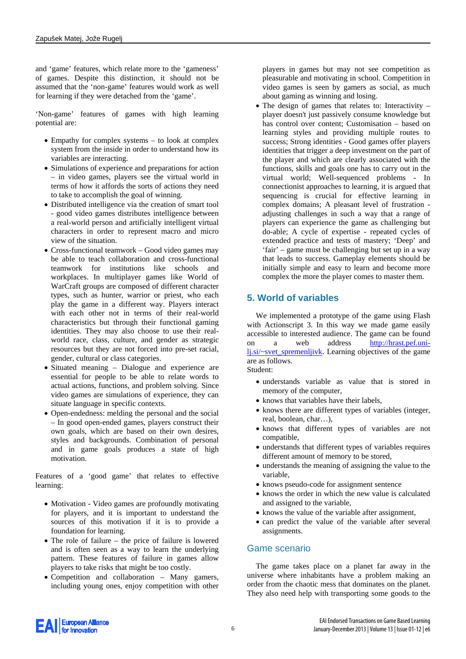and 'game' features, which relate more to the 'gameness' of games. Despite this distinction, it should not be assumed that the 'non-game' features would work as well for learning if they were detached from the 'game'.

'Non-game' features of games with high learning potential are:

- Empathy for complex systems to look at complex system from the inside in order to understand how its variables are interacting.
- Simulations of experience and preparations for action – in video games, players see the virtual world in terms of how it affords the sorts of actions they need to take to accomplish the goal of winning.
- Distributed intelligence via the creation of smart tool - good video games distributes intelligence between a real-world person and artificially intelligent virtual characters in order to represent macro and micro view of the situation.
- Cross-functional teamwork Good video games may be able to teach collaboration and cross-functional teamwork for institutions like schools and workplaces. In multiplayer games like World of WarCraft groups are composed of different character types, such as hunter, warrior or priest, who each play the game in a different way. Players interact with each other not in terms of their real-world characteristics but through their functional gaming identities. They may also choose to use their realworld race, class, culture, and gender as strategic resources but they are not forced into pre-set racial, gender, cultural or class categories.
- Situated meaning Dialogue and experience are essential for people to be able to relate words to actual actions, functions, and problem solving. Since video games are simulations of experience, they can situate language in specific contexts.
- Open-endedness: melding the personal and the social – In good open-ended games, players construct their own goals, which are based on their own desires, styles and backgrounds. Combination of personal and in game goals produces a state of high motivation.

Features of a 'good game' that relates to effective learning:

- Motivation Video games are profoundly motivating for players, and it is important to understand the sources of this motivation if it is to provide a foundation for learning.
- The role of failure the price of failure is lowered and is often seen as a way to learn the underlying pattern. These features of failure in games allow players to take risks that might be too costly.
- Competition and collaboration Many gamers, including young ones, enjoy competition with other

players in games but may not see competition as pleasurable and motivating in school. Competition in video games is seen by gamers as social, as much about gaming as winning and losing.

• The design of games that relates to: Interactivity – player doesn't just passively consume knowledge but has control over content; Customisation – based on learning styles and providing multiple routes to success; Strong identities - Good games offer players identities that trigger a deep investment on the part of the player and which are clearly associated with the functions, skills and goals one has to carry out in the virtual world; Well-sequenced problems - In connectionist approaches to learning, it is argued that sequencing is crucial for effective learning in complex domains; A pleasant level of frustration adjusting challenges in such a way that a range of players can experience the game as challenging but do-able; A cycle of expertise - repeated cycles of extended practice and tests of mastery; 'Deep' and 'fair' – game must be challenging but set up in a way that leads to success. Gameplay elements should be initially simple and easy to learn and become more complex the more the player comes to master them.

## **5. World of variables**

We implemented a prototype of the game using Flash with Actionscript 3. In this way we made game easily accessible to interested audience. The game can be found on a web address [http://hrast.pef.uni](http://hrast.pef.uni-lj.si/~svet_spremenljivk)[lj.si/~svet\\_spremenljivk.](http://hrast.pef.uni-lj.si/~svet_spremenljivk) Learning objectives of the game are as follows.

Student:

- understands variable as value that is stored in memory of the computer,
- knows that variables have their labels,
- knows there are different types of variables (integer, real, boolean, char…),
- knows that different types of variables are not compatible,
- understands that different types of variables requires different amount of memory to be stored,
- understands the meaning of assigning the value to the variable,
- knows pseudo-code for assignment sentence
- knows the order in which the new value is calculated and assigned to the variable,
- knows the value of the variable after assignment,
- can predict the value of the variable after several assignments.

#### Game scenario

The game takes place on a planet far away in the universe where inhabitants have a problem making an order from the chaotic mess that dominates on the planet. They also need help with transporting some goods to the

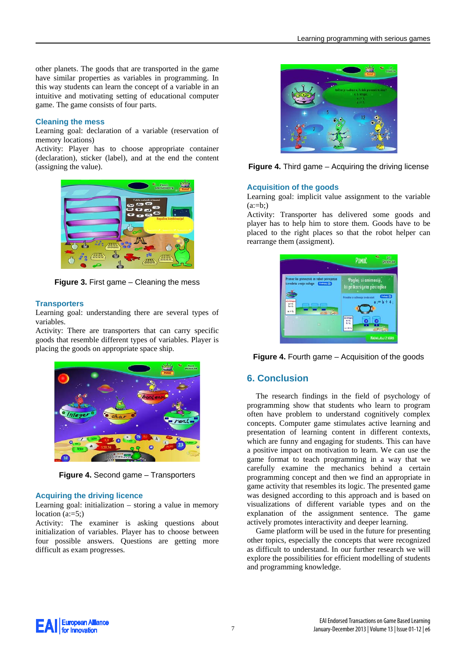other planets. The goods that are transported in the game have similar properties as variables in programming. In this way students can learn the concept of a variable in an intuitive and motivating setting of educational computer game. The game consists of four parts.

#### **Cleaning the mess**

Learning goal: declaration of a variable (reservation of memory locations)

Activity: Player has to choose appropriate container (declaration), sticker (label), and at the end the content (assigning the value).



**Figure 3.** First game – Cleaning the mess

#### **Transporters**

Learning goal: understanding there are several types of variables.

Activity: There are transporters that can carry specific goods that resemble different types of variables. Player is placing the goods on appropriate space ship.



**Figure 4.** Second game – Transporters

#### **Acquiring the driving licence**

Learning goal: initialization – storing a value in memory location  $(a:=5)$ ;

Activity: The examiner is asking questions about initialization of variables. Player has to choose between four possible answers. Questions are getting more difficult as exam progresses.



**Figure 4.** Third game – Acquiring the driving license

#### **Acquisition of the goods**

Learning goal: implicit value assignment to the variable  $(a:=b)$ 

Activity: Transporter has delivered some goods and player has to help him to store them. Goods have to be placed to the right places so that the robot helper can rearrange them (assigment).



**Figure 4.** Fourth game – Acquisition of the goods

#### **6. Conclusion**

The research findings in the field of psychology of programming show that students who learn to program often have problem to understand cognitively complex concepts. Computer game stimulates active learning and presentation of learning content in different contexts, which are funny and engaging for students. This can have a positive impact on motivation to learn. We can use the game format to teach programming in a way that we carefully examine the mechanics behind a certain programming concept and then we find an appropriate in game activity that resembles its logic. The presented game was designed according to this approach and is based on visualizations of different variable types and on the explanation of the assignment sentence. The game actively promotes interactivity and deeper learning.

Game platform will be used in the future for presenting other topics, especially the concepts that were recognized as difficult to understand. In our further research we will explore the possibilities for efficient modelling of students and programming knowledge.